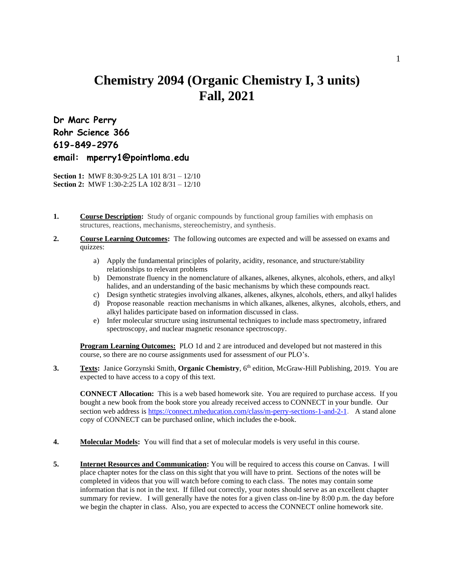## **Chemistry 2094 (Organic Chemistry I, 3 units) Fall, 2021**

**Dr Marc Perry Rohr Science 366 619-849-2976 email: mperry1@pointloma.edu**

**Section 1:** MWF 8:30-9:25 LA 101 8/31 – 12/10 **Section 2:** MWF 1:30-2:25 LA 102 8/31 – 12/10

- **1. Course Description:** Study of organic compounds by functional group families with emphasis on structures, reactions, mechanisms, stereochemistry, and synthesis.
- **2. Course Learning Outcomes:** The following outcomes are expected and will be assessed on exams and quizzes:
	- a) Apply the fundamental principles of polarity, acidity, resonance, and structure/stability relationships to relevant problems
	- b) Demonstrate fluency in the nomenclature of alkanes, alkenes, alkynes, alcohols, ethers, and alkyl halides, and an understanding of the basic mechanisms by which these compounds react.
	- c) Design synthetic strategies involving alkanes, alkenes, alkynes, alcohols, ethers, and alkyl halides
	- d) Propose reasonable reaction mechanisms in which alkanes, alkenes, alkynes, alcohols, ethers, and alkyl halides participate based on information discussed in class.
	- e) Infer molecular structure using instrumental techniques to include mass spectrometry, infrared spectroscopy, and nuclear magnetic resonance spectroscopy.

**Program Learning Outcomes:** PLO 1d and 2 are introduced and developed but not mastered in this course, so there are no course assignments used for assessment of our PLO's.

**3. Texts:** Janice Gorzynski Smith, **Organic Chemistry**, 6<sup>th</sup> edition, McGraw-Hill Publishing, 2019. You are expected to have access to a copy of this text.

**CONNECT Allocation:** This is a web based homework site. You are required to purchase access. If you bought a new book from the book store you already received access to CONNECT in your bundle. Our section web address is <https://connect.mheducation.com/class/m-perry-sections-1-and-2-1>. A stand alone copy of CONNECT can be purchased online, which includes the e-book.

- **4. Molecular Models:** You will find that a set of molecular models is very useful in this course.
- **5. Internet Resources and Communication:** You will be required to access this course on Canvas. I will place chapter notes for the class on this sight that you will have to print. Sections of the notes will be completed in videos that you will watch before coming to each class. The notes may contain some information that is not in the text. If filled out correctly, your notes should serve as an excellent chapter summary for review. I will generally have the notes for a given class on-line by 8:00 p.m. the day before we begin the chapter in class. Also, you are expected to access the CONNECT online homework site.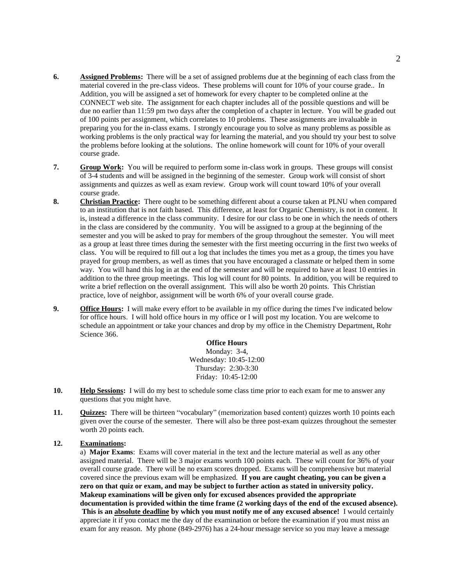- **6. Assigned Problems:** There will be a set of assigned problems due at the beginning of each class from the material covered in the pre-class videos. These problems will count for 10% of your course grade.. In Addition, you will be assigned a set of homework for every chapter to be completed online at the CONNECT web site. The assignment for each chapter includes all of the possible questions and will be due no earlier than 11:59 pm two days after the completion of a chapter in lecture. You will be graded out of 100 points per assignment, which correlates to 10 problems. These assignments are invaluable in preparing you for the in-class exams. I strongly encourage you to solve as many problems as possible as working problems is the only practical way for learning the material, and you should try your best to solve the problems before looking at the solutions. The online homework will count for 10% of your overall course grade.
- **7. Group Work:** You will be required to perform some in-class work in groups. These groups will consist of 3-4 students and will be assigned in the beginning of the semester. Group work will consist of short assignments and quizzes as well as exam review. Group work will count toward 10% of your overall course grade.
- **8. Christian Practice:** There ought to be something different about a course taken at PLNU when compared to an institution that is not faith based. This difference, at least for Organic Chemistry, is not in content. It is, instead a difference in the class community. I desire for our class to be one in which the needs of others in the class are considered by the community. You will be assigned to a group at the beginning of the semester and you will be asked to pray for members of the group throughout the semester. You will meet as a group at least three times during the semester with the first meeting occurring in the first two weeks of class. You will be required to fill out a log that includes the times you met as a group, the times you have prayed for group members, as well as times that you have encouraged a classmate or helped them in some way. You will hand this log in at the end of the semester and will be required to have at least 10 entries in addition to the three group meetings. This log will count for 80 points. In addition, you will be required to write a brief reflection on the overall assignment. This will also be worth 20 points. This Christian practice, love of neighbor, assignment will be worth 6% of your overall course grade.
- **9. Office Hours:** I will make every effort to be available in my office during the times I've indicated below for office hours. I will hold office hours in my office or I will post my location. You are welcome to schedule an appointment or take your chances and drop by my office in the Chemistry Department, Rohr Science 366.

## **Office Hours**

Monday: 3-4, Wednesday: 10:45-12:00 Thursday: 2:30-3:30 Friday: 10:45-12:00

- **10. Help Sessions:** I will do my best to schedule some class time prior to each exam for me to answer any questions that you might have.
- **11. Quizzes:** There will be thirteen "vocabulary" (memorization based content) quizzes worth 10 points each given over the course of the semester. There will also be three post-exam quizzes throughout the semester worth 20 points each.

## **12. Examinations:**

a) **Major Exams**: Exams will cover material in the text and the lecture material as well as any other assigned material. There will be 3 major exams worth 100 points each. These will count for 36% of your overall course grade. There will be no exam scores dropped. Exams will be comprehensive but material covered since the previous exam will be emphasized. **If you are caught cheating, you can be given a zero on that quiz or exam, and may be subject to further action as stated in university policy. Makeup examinations will be given only for excused absences provided the appropriate documentation is provided within the time frame (2 working days of the end of the excused absence). This is an absolute deadline by which you must notify me of any excused absence!** I would certainly appreciate it if you contact me the day of the examination or before the examination if you must miss an exam for any reason. My phone (849-2976) has a 24-hour message service so you may leave a message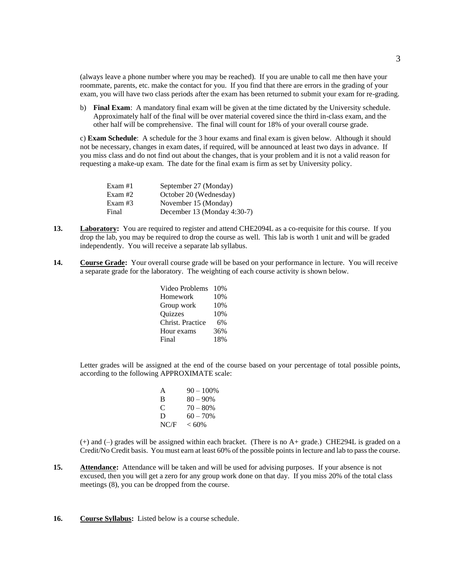(always leave a phone number where you may be reached). If you are unable to call me then have your roommate, parents, etc. make the contact for you. If you find that there are errors in the grading of your exam, you will have two class periods after the exam has been returned to submit your exam for re-grading.

b) **Final Exam**: A mandatory final exam will be given at the time dictated by the University schedule. Approximately half of the final will be over material covered since the third in-class exam, and the other half will be comprehensive. The final will count for 18% of your overall course grade.

c) **Exam Schedule**: A schedule for the 3 hour exams and final exam is given below. Although it should not be necessary, changes in exam dates, if required, will be announced at least two days in advance. If you miss class and do not find out about the changes, that is your problem and it is not a valid reason for requesting a make-up exam. The date for the final exam is firm as set by University policy.

| Exam $#1$ | September 27 (Monday)       |
|-----------|-----------------------------|
| Exam #2   | October 20 (Wednesday)      |
| Exam #3   | November 15 (Monday)        |
| Final     | December 13 (Monday 4:30-7) |

- 13. **Laboratory:** You are required to register and attend CHE2094L as a co-requisite for this course. If you drop the lab, you may be required to drop the course as well. This lab is worth 1 unit and will be graded independently. You will receive a separate lab syllabus.
- **14. Course Grade:** Your overall course grade will be based on your performance in lecture. You will receive a separate grade for the laboratory. The weighting of each course activity is shown below.

| Video Problems   | 10% |
|------------------|-----|
| Homework         | 10% |
| Group work       | 10% |
| Quizzes          | 10% |
| Christ. Practice | 6%  |
| Hour exams       | 36% |
| Final            | 18% |

Letter grades will be assigned at the end of the course based on your percentage of total possible points, according to the following APPROXIMATE scale:

| A    | $90 - 100\%$ |
|------|--------------|
| В    | $80 - 90\%$  |
| C    | $70 - 80%$   |
| D    | $60 - 70%$   |
| NC/F | $< 60\%$     |
|      |              |

(+) and (–) grades will be assigned within each bracket. (There is no A+ grade.) CHE294L is graded on a Credit/No Credit basis. You must earn at least 60% of the possible points in lecture and lab to pass the course.

- **15. Attendance:** Attendance will be taken and will be used for advising purposes. If your absence is not excused, then you will get a zero for any group work done on that day. If you miss 20% of the total class meetings (8), you can be dropped from the course.
- **16. Course Syllabus:** Listed below is a course schedule.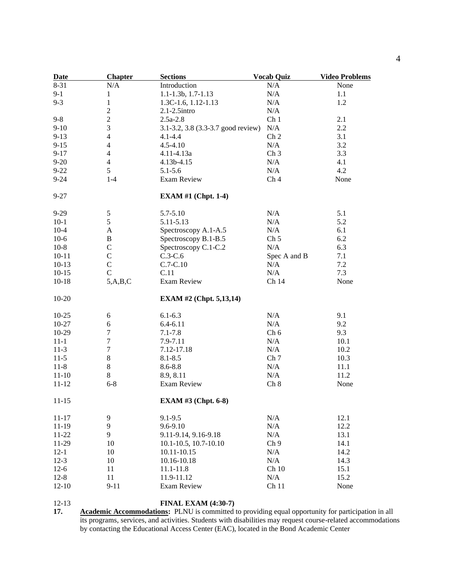| <b>Date</b> | <b>Chapter</b>   | <b>Sections</b>                    | <b>Vocab Quiz</b> | <b>Video Problems</b> |
|-------------|------------------|------------------------------------|-------------------|-----------------------|
| 8-31        | N/A              | Introduction                       | N/A               | None                  |
| $9-1$       | $\mathbf{1}$     | 1.1-1.3b, 1.7-1.13                 | N/A               | 1.1                   |
| $9 - 3$     | $\mathbf{1}$     | 1.3C-1.6, 1.12-1.13                | N/A               | 1.2                   |
|             | $\mathbf{2}$     | $2.1 - 2.5$ intro                  | N/A               |                       |
| $9 - 8$     | $\boldsymbol{2}$ | $2.5a-2.8$                         | Ch <sub>1</sub>   | 2.1                   |
| $9 - 10$    | 3                | 3.1-3.2, 3.8 (3.3-3.7 good review) | N/A               | 2.2                   |
| $9-13$      | $\overline{4}$   | $4.1 - 4.4$                        | Ch <sub>2</sub>   | 3.1                   |
| $9 - 15$    | $\overline{4}$   | $4.5 - 4.10$                       | N/A               | 3.2                   |
| $9 - 17$    | $\overline{4}$   | 4.11-4.13a                         | Ch <sub>3</sub>   | 3.3                   |
| $9 - 20$    | $\overline{4}$   | 4.13b-4.15                         | N/A               | 4.1                   |
| $9 - 22$    | 5                | $5.1 - 5.6$                        | N/A               | 4.2                   |
| $9 - 24$    | $1 - 4$          | Exam Review                        | Ch <sub>4</sub>   | None                  |
| $9 - 27$    |                  | <b>EXAM #1 (Chpt. 1-4)</b>         |                   |                       |
| $9 - 29$    | $\mathfrak{S}$   | 5.7-5.10                           | N/A               | 5.1                   |
| $10-1$      | 5                | 5.11-5.13                          | N/A               | 5.2                   |
| $10-4$      | A                | Spectroscopy A.1-A.5               | N/A               | 6.1                   |
| $10-6$      | $\, {\bf B}$     | Spectroscopy B.1-B.5               | Ch <sub>5</sub>   | 6.2                   |
| $10-8$      | $\mathsf{C}$     | Spectroscopy C.1-C.2               | N/A               | 6.3                   |
| $10 - 11$   | $\mathcal{C}$    | $C.3-C.6$                          | Spec A and B      | 7.1                   |
| $10-13$     | $\mathbf C$      | $C.7-C.10$                         | N/A               | 7.2                   |
| $10-15$     | $\mathbf C$      | C.11                               | N/A               | 7.3                   |
| $10 - 18$   | 5, A, B, C       | Exam Review                        | Ch 14             | None                  |
| $10-20$     |                  | <b>EXAM #2 (Chpt. 5,13,14)</b>     |                   |                       |
| $10-25$     | 6                | $6.1 - 6.3$                        | N/A               | 9.1                   |
| 10-27       | 6                | $6.4 - 6.11$                       | N/A               | 9.2                   |
| 10-29       | $\tau$           | $7.1 - 7.8$                        | Ch 6              | 9.3                   |
| $11 - 1$    | $\boldsymbol{7}$ | 7.9-7.11                           | N/A               | 10.1                  |
| $11-3$      | 7                | 7.12-17.18                         | N/A               | 10.2                  |
| $11-5$      | $8\,$            | $8.1 - 8.5$                        | Ch <sub>7</sub>   | 10.3                  |
| $11-8$      | $8\,$            | $8.6 - 8.8$                        | N/A               | 11.1                  |
| $11 - 10$   | $8\,$            | 8.9, 8.11                          | N/A               | 11.2                  |
| $11 - 12$   | $6 - 8$          | Exam Review                        | Ch 8              | None                  |
| $11 - 15$   |                  | <b>EXAM #3 (Chpt. 6-8)</b>         |                   |                       |
| $11 - 17$   | 9                | $9.1 - 9.5$                        | N/A               | 12.1                  |
| $11-19$     | 9                | 9.6-9.10                           | N/A               | 12.2                  |
| $11 - 22$   | 9                | 9.11-9.14, 9.16-9.18               | N/A               | 13.1                  |
| 11-29       | 10               | 10.1-10.5, 10.7-10.10              | Ch <sub>9</sub>   | 14.1                  |
| $12-1$      | 10               | 10.11-10.15                        | N/A               | 14.2                  |
| $12-3$      | 10               | 10.16-10.18                        | N/A               | 14.3                  |
| $12-6$      | 11               | 11.1-11.8                          | Ch10              | 15.1                  |
| $12 - 8$    | 11               | 11.9-11.12                         | N/A               | 15.2                  |
| $12 - 10$   | $9 - 11$         | <b>Exam Review</b>                 | Ch <sub>11</sub>  | None                  |

12-13 **FINAL EXAM (4:30-7)**<br>17. **Academic Accommodations:** PLNU is committed t **17. Academic Accommodations:** PLNU is committed to providing equal opportunity for participation in all its programs, services, and activities. Students with disabilities may request course-related accommodations by contacting the Educational Access Center (EAC), located in the Bond Academic Center